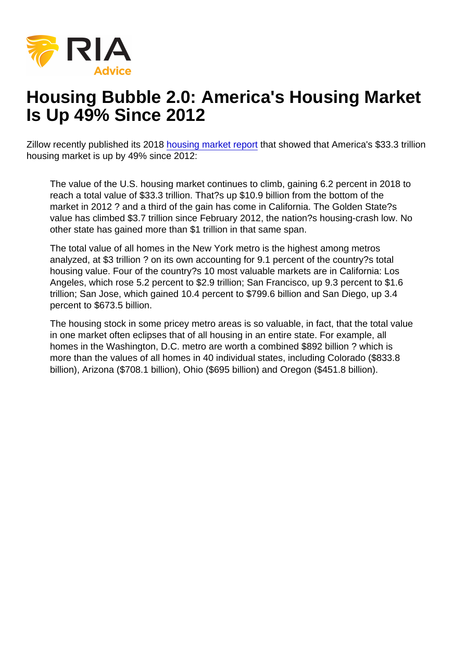## Housing Bubble 2.0: America's Housing Market Is Up 49% Since 2012

Zillow recently published its 2018 [housing market report](https://www.zillow.com/research/california-leads-housing-gains-22600/) that showed that America's \$33.3 trillion housing market is up by 49% since 2012:

The value of the U.S. housing market continues to climb, gaining 6.2 percent in 2018 to reach a total value of \$33.3 trillion. That?s up \$10.9 billion from the bottom of the market in 2012 ? and a third of the gain has come in California. The Golden State?s value has climbed \$3.7 trillion since February 2012, the nation?s housing-crash low. No other state has gained more than \$1 trillion in that same span.

The total value of all homes in the New York metro is the highest among metros analyzed, at \$3 trillion ? on its own accounting for 9.1 percent of the country?s total housing value. Four of the country?s 10 most valuable markets are in California: Los Angeles, which rose 5.2 percent to \$2.9 trillion; San Francisco, up 9.3 percent to \$1.6 trillion; San Jose, which gained 10.4 percent to \$799.6 billion and San Diego, up 3.4 percent to \$673.5 billion.

The housing stock in some pricey metro areas is so valuable, in fact, that the total value in one market often eclipses that of all housing in an entire state. For example, all homes in the Washington, D.C. metro are worth a combined \$892 billion ? which is more than the values of all homes in 40 individual states, including Colorado (\$833.8 billion), Arizona (\$708.1 billion), Ohio (\$695 billion) and Oregon (\$451.8 billion).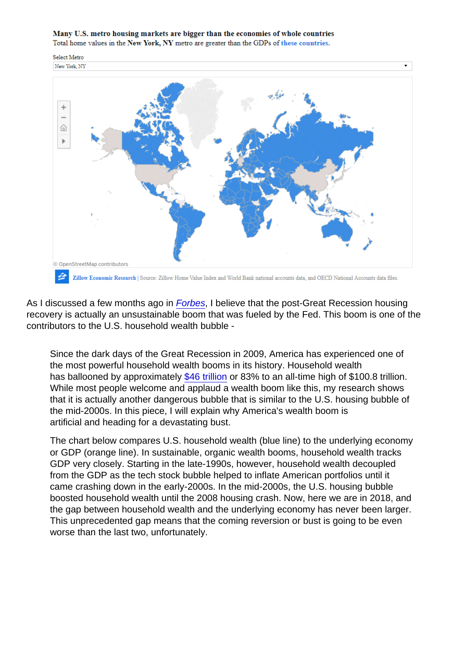As I discussed a few months ago in [Forbes,](https://www.forbes.com/sites/jessecolombo/2018/08/24/u-s-household-wealth-is-experiencing-an-unsustainable-bubble/) I believe that the post-Great Recession housing recovery is actually an unsustainable boom that was fueled by the Fed. This boom is one of the contributors to the U.S. household wealth bubble -

Since the dark days of the Great Recession in 2009, America has experienced one of the most powerful household wealth booms in its history. Household wealth has ballooned by approximately [\\$46 trillion](https://fred.stlouisfed.org/series/TNWBSHNO) or 83% to an all-time high of \$100.8 trillion. While most people welcome and applaud a wealth boom like this, my research shows that it is actually another dangerous bubble that is similar to the U.S. housing bubble of the mid-2000s. In this piece, I will explain why America's wealth boom is artificial and heading for a devastating bust.

The chart below compares U.S. household wealth (blue line) to the underlying economy or GDP (orange line). In sustainable, organic wealth booms, household wealth tracks GDP very closely. Starting in the late-1990s, however, household wealth decoupled from the GDP as the tech stock bubble helped to inflate American portfolios until it came crashing down in the early-2000s. In the mid-2000s, the U.S. housing bubble boosted household wealth until the 2008 housing crash. Now, here we are in 2018, and the gap between household wealth and the underlying economy has never been larger. This unprecedented gap means that the coming reversion or bust is going to be even worse than the last two, unfortunately.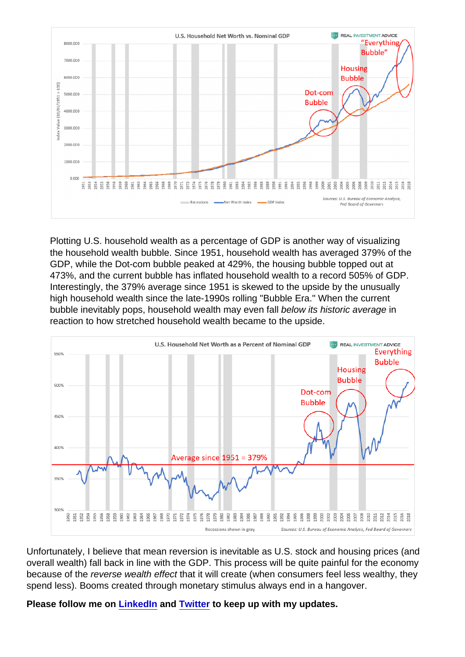Plotting U.S. household wealth as a percentage of GDP is another way of visualizing the household wealth bubble. Since 1951, household wealth has averaged 379% of the GDP, while the Dot-com bubble peaked at 429%, the housing bubble topped out at 473%, and the current bubble has inflated household wealth to a record 505% of GDP. Interestingly, the 379% average since 1951 is skewed to the upside by the unusually high household wealth since the late-1990s rolling "Bubble Era." When the current bubble inevitably pops, household wealth may even fall below its historic average in reaction to how stretched household wealth became to the upside.

Unfortunately, I believe that mean reversion is inevitable as U.S. stock and housing prices (and overall wealth) fall back in line with the GDP. This process will be quite painful for the economy because of the reverse wealth effect that it will create (when consumers feel less wealthy, they spend less). Booms created through monetary stimulus always end in a hangover.

Please follow me on [LinkedIn](https://www.linkedin.com/in/jessecolombo/) and [Twitter](https://twitter.com/TheBubbleBubble) to keep up with my updates.